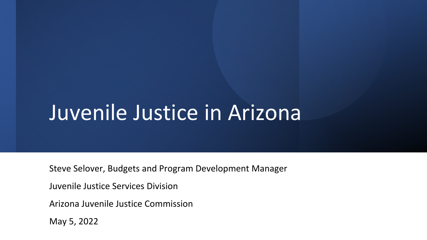### Juvenile Justice in Arizona

Steve Selover, Budgets and Program Development Manager

Juvenile Justice Services Division

Arizona Juvenile Justice Commission

May 5, 2022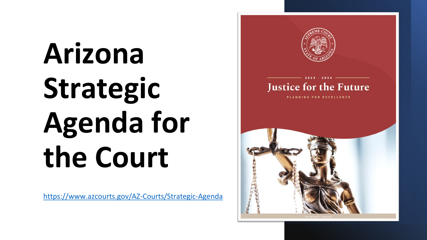# **Arizona Strategic Agenda for the Court**

<https://www.azcourts.gov/AZ-Courts/Strategic-Agenda>

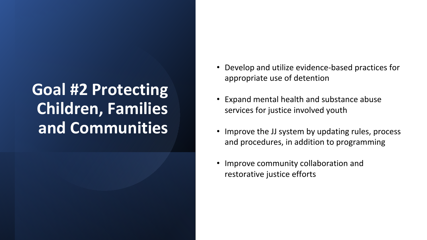#### **Goal #2 Protecting Children, Families and Communities**

- Develop and utilize evidence-based practices for appropriate use of detention
- Expand mental health and substance abuse services for justice involved youth
- Improve the JJ system by updating rules, process and procedures, in addition to programming
- Improve community collaboration and restorative justice efforts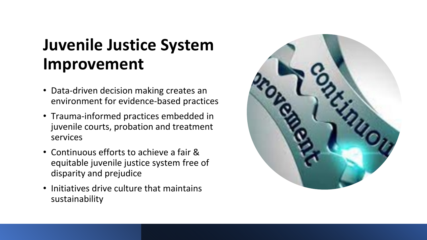#### **Juvenile Justice System Improvement**

- Data-driven decision making creates an environment for evidence-based practices
- Trauma-informed practices embedded in juvenile courts, probation and treatment services
- Continuous efforts to achieve a fair & equitable juvenile justice system free of disparity and prejudice
- Initiatives drive culture that maintains sustainability

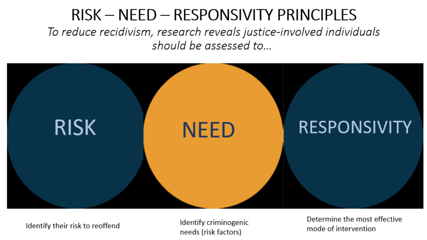#### RISK - NEED - RESPONSIVITY PRINCIPLES To reduce recidivism, research reveals justice-involved individuals should be assessed to...



Identify their risk to reoffend

Identify criminogenic needs (risk factors)

Determine the most effective mode of intervention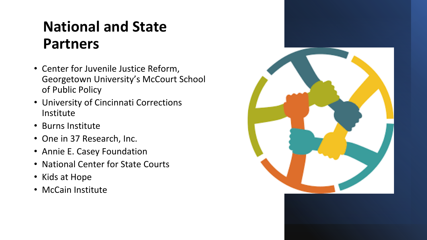#### **National and State Partners**

- Center for Juvenile Justice Reform, Georgetown University's McCourt School of Public Policy
- University of Cincinnati Corrections Institute
- Burns Institute
- One in 37 Research, Inc.
- Annie E. Casey Foundation
- National Center for State Courts
- Kids at Hope
- McCain Institute

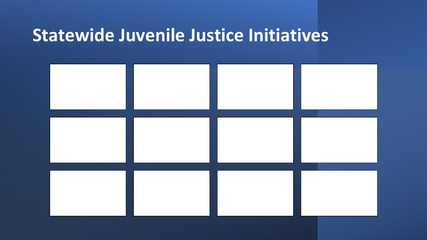#### **Statewide Juvenile Justice Initiatives**

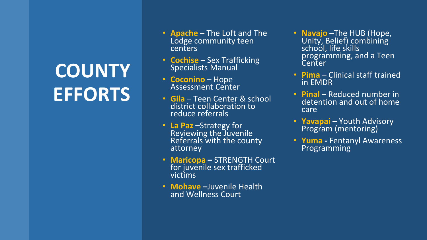## **COUNTY EFFORTS**

- **Apache –** The Loft and The Lodge community teen centers
- **Cochise –** Sex Trafficking<br>Specialists Manual
- **Coconino** Hope Assessment Center
- **Gila**  Teen Center & school district collaboration to reduce referrals
- **La Paz-Strategy for**<br>Reviewing the Juvenile Referrals with the county attorney
- **Maricopa –** STRENGTH Court for juvenile sex trafficked victims
- **Mohave –**Juvenile Health and Wellness Court
- **Navajo –**The HUB (Hope, Unity, Belief) combining school, life skills programming, and a Teen **Center**
- **Pima** Clinical staff trained in EMDR
- **Pinal** Reduced number in detention and out of home care
- **Yavapai –** Youth Advisory Program (mentoring)
- **Yuma -** Fentanyl Awareness Programming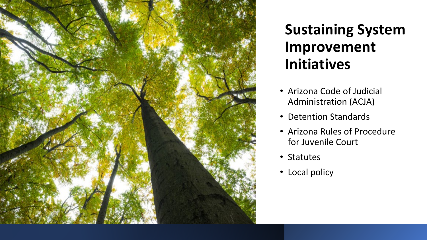

#### **Sustaining System Improvement Initiatives**

- Arizona Code of Judicial Administration (ACJA)
- Detention Standards
- Arizona Rules of Procedure for Juvenile Court
- Statutes
- Local policy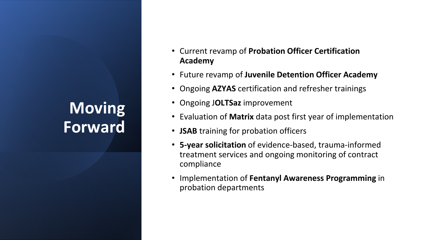#### **Moving Forward**

- Current revamp of **Probation Officer Certification Academy**
- Future revamp of **Juvenile Detention Officer Academy**
- Ongoing **AZYAS** certification and refresher trainings
- Ongoing J**OLTSaz** improvement
- Evaluation of **Matrix** data post first year of implementation
- **JSAB** training for probation officers
- **5-year solicitation** of evidence-based, trauma-informed treatment services and ongoing monitoring of contract compliance
- Implementation of **Fentanyl Awareness Programming** in probation departments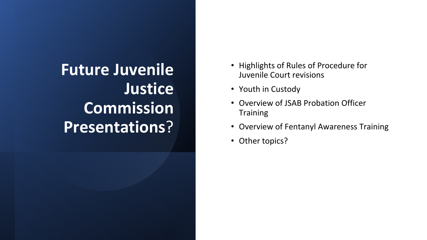#### **Future Juvenile Justice Commission Presentations**?

- Highlights of Rules of Procedure for Juvenile Court revisions
- Youth in Custody
- Overview of JSAB Probation Officer **Training**
- Overview of Fentanyl Awareness Training
- Other topics?